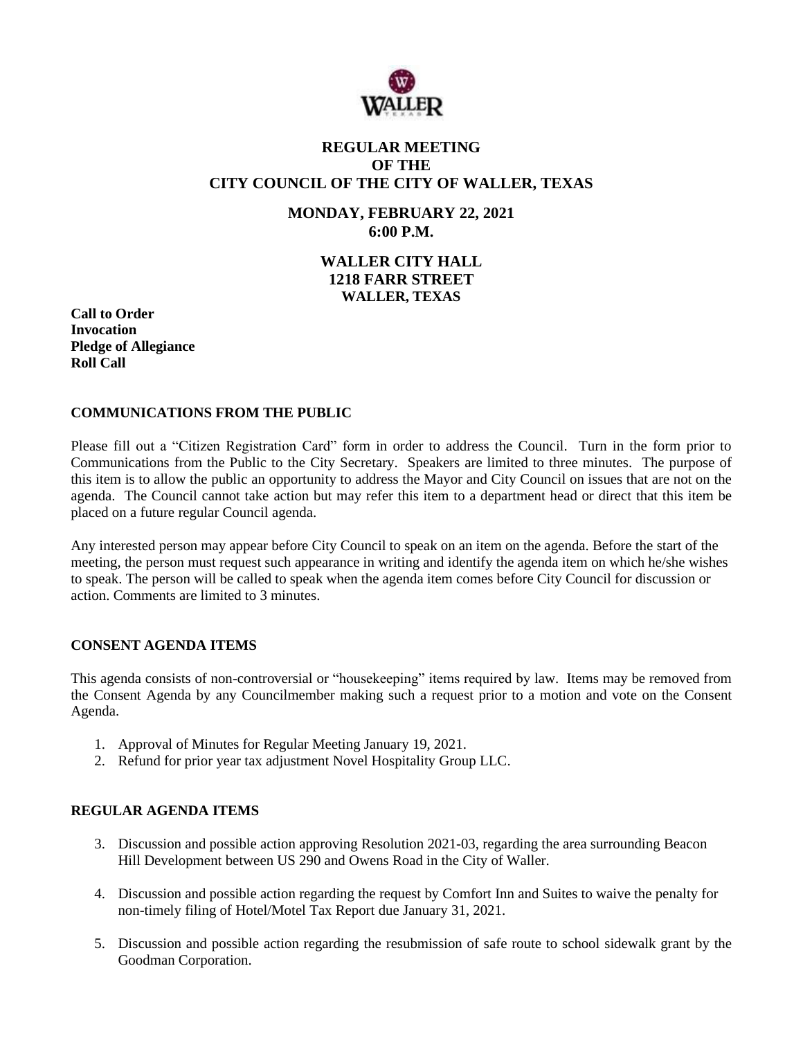

# **REGULAR MEETING OF THE CITY COUNCIL OF THE CITY OF WALLER, TEXAS**

# **MONDAY, FEBRUARY 22, 2021 6:00 P.M.**

# **WALLER CITY HALL 1218 FARR STREET WALLER, TEXAS**

**Call to Order Invocation Pledge of Allegiance Roll Call**

#### **COMMUNICATIONS FROM THE PUBLIC**

Please fill out a "Citizen Registration Card" form in order to address the Council. Turn in the form prior to Communications from the Public to the City Secretary. Speakers are limited to three minutes. The purpose of this item is to allow the public an opportunity to address the Mayor and City Council on issues that are not on the agenda. The Council cannot take action but may refer this item to a department head or direct that this item be placed on a future regular Council agenda.

Any interested person may appear before City Council to speak on an item on the agenda. Before the start of the meeting, the person must request such appearance in writing and identify the agenda item on which he/she wishes to speak. The person will be called to speak when the agenda item comes before City Council for discussion or action. Comments are limited to 3 minutes.

### **CONSENT AGENDA ITEMS**

This agenda consists of non-controversial or "housekeeping" items required by law. Items may be removed from the Consent Agenda by any Councilmember making such a request prior to a motion and vote on the Consent Agenda.

- 1. Approval of Minutes for Regular Meeting January 19, 2021.
- 2. Refund for prior year tax adjustment Novel Hospitality Group LLC.

### **REGULAR AGENDA ITEMS**

- 3. Discussion and possible action approving Resolution 2021-03, regarding the area surrounding Beacon Hill Development between US 290 and Owens Road in the City of Waller.
- 4. Discussion and possible action regarding the request by Comfort Inn and Suites to waive the penalty for non-timely filing of Hotel/Motel Tax Report due January 31, 2021.
- 5. Discussion and possible action regarding the resubmission of safe route to school sidewalk grant by the Goodman Corporation.